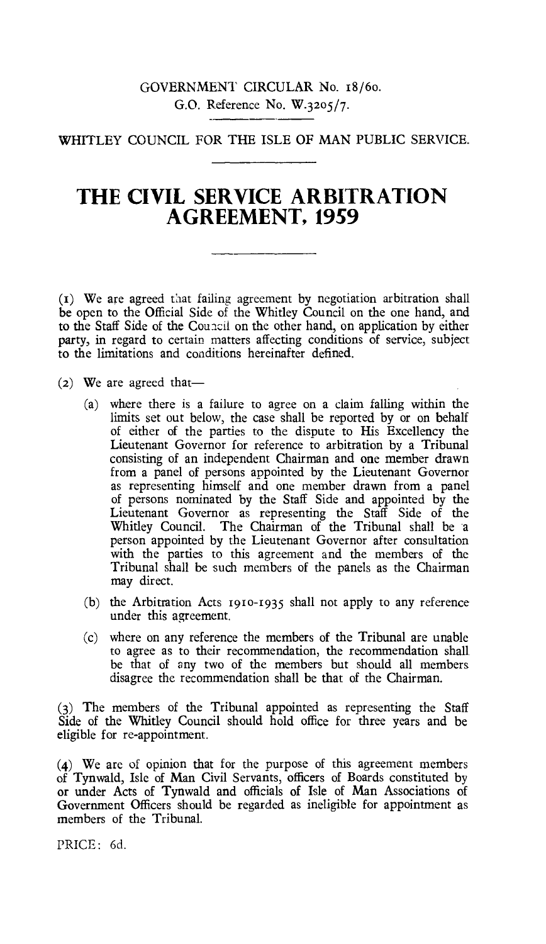# GOVERNMENT CIRCULAR No. 18/6o. G.O. Reference No. W.32o5/7.

# WHITLEY COUNCIL FOR THE ISLE OF MAN PUBLIC SERVICE.

# **THE CIVIL. SERVICE ARBITRATION AGREEMENT, 1959**

 $(I)$  We are agreed that failing agreement by negotiation arbitration shall be open to the Official Side of the Whitley Council on the one hand, and to the Staff Side of the Council on the other hand, on application by either party, in regard to certain matters affecting conditions of service, subject to the limitations and conditions hereinafter defined.

(2) We are agreed that—

- (a) where there is a failure to agree on a claim falling within the limits set out below, the case shall be reported by or on behalf of either of the parties to the dispute to His Excellency the Lieutenant Governor for reference to arbitration by a Tribunal consisting of an independent Chairman and one member drawn from a panel of persons appointed by the Lieutenant Governor as representing himself and one member drawn from a panel of persons nominated by the Staff Side and appointed by the Lieutenant Governor as representing the Staff Side of the Whitley Council. The Chairman of the Tribunal shall be a person appointed by the Lieutenant Governor after consultation with the parties to this agreement and the members of the Tribunal shall be such members of the panels as the Chairman may direct.
- $(b)$  the Arbitration Acts 1910-1935 shall not apply to any reference under this agreement.
- (c) where on any reference the members of the Tribunal are unable to agree as to their recommendation, the recommendation shall be that of any two of the members but should all members disagree the recommendation shall be that of the Chairman.

(3) The members of the Tribunal appointed as representing the Staff Side of the Whitley Council should hold office for three years and be eligible for re-appointment.

(4) We are of opinion that for the purpose of this agreement members of Tynwald, Isle of Man Civil Servants, officers of Boards constituted by or under Acts of Tynwald and officials of Isle of Man Associations of Government Officers should be regarded as ineligible for appointment as members of the Tribunal.

PRICE: 6d.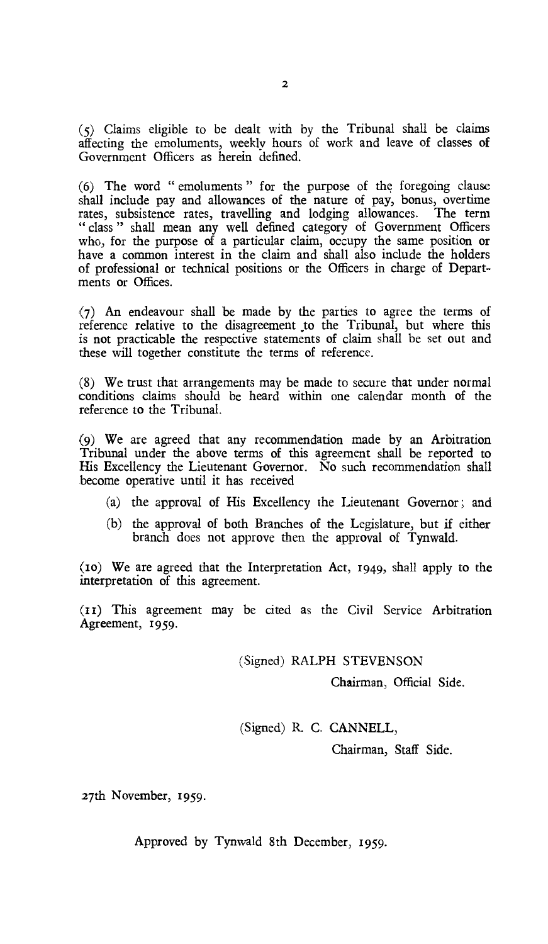(5) Claims eligible to be dealt with by the Tribunal shall be claims affecting the emoluments, weekly hours of work and leave of classes of Government Officers as herein defined.

(6) The word " emoluments " for the purpose of the foregoing clause shall include pay and allowances of the nature of pay, bonus, overtime rates, subsistence rates, travelling and lodging allowances. The term " class " shall mean any well defined category of Government Officers who, for the purpose of a particular claim, occupy the same position or have a common interest in the claim and shall also include the holders of professional or technical positions or the Officers in charge of Departments or Offices.

(7) An endeavour shall be made by the parties to agree the terms of reference relative to the disagreement to the Tribunal, but where this is not practicable the respective statements of claim shall be set out and these will together constitute the terms of reference.

(8) We trust that arrangements may be made to secure that under normal conditions claims should be heard within one calendar month of the reference to the Tribunal.

(9) We are agreed that any recommendation made by an Arbitration Tribunal under the above terms of this agreement shall be reported to His Excellency the Lieutenant Governor. No such recommendation shall become operative until it has received

- (a) the approval of His Excellency the Lieutenant Governor ; and
- (b) the approval of both Branches of the Legislature, but if either branch does not approve then the approval of Tynwald.

(10) We are agreed that the Interpretation Act, 1949, shall apply to the interpretation of this agreement.

(II) This agreement may be cited as the Civil Service Arbitration Agreement, 1959.

(Signed) RALPH STEVENSON

Chairman, Official Side.

(Signed) R. C. CANNELL,

Chairman, Staff Side.

27th November, 1959.

Approved by Tynwald 8th December, 1959.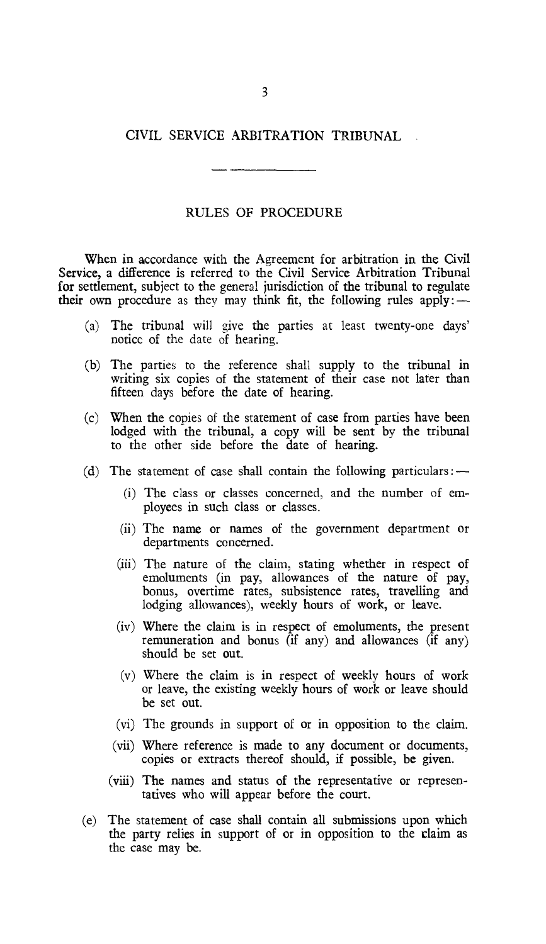## CIVIL SERVICE ARBITRATION TRIBUNAL

# RULES OF PROCEDURE

When in accordance with the Agreement for arbitration in the Civil Service, a difference is referred to the Civil Service Arbitration Tribunal for settlement, subject to the general jurisdiction of the tribunal to regulate their own procedure as they may think fit, the following rules apply:  $\rightarrow$ 

- (a) The tribunal will give the parties at least twenty-one days' notice of the date of hearing.
- (b) The parties to the reference shall supply to the tribunal in writing six copies of the statement of their case not later than fifteen days before the date of hearing.
- (c) When the copies of the statement of case from parties have been lodged with the tribunal, a copy will be sent by the tribunal to the other side before the date of hearing.
- (d) The statement of case shall contain the following particulars :  $-$ 
	- (i) The class or classes concerned, and the number of employees in such class or classes.
	- (ii) The name or names of the government department or departments concerned.
	- (iii) The nature of the claim, stating whether in respect of emoluments (in pay, allowances of the nature of pay, bonus, overtime rates, subsistence rates, travelling and lodging allowances), weekly hours of work, or leave.
	- (iv) Where the claim is in respect of emoluments, the present remuneration and bonus (if any) and allowances (if any) should be set out.
	- (v) Where the claim is in respect of weekly hours of work or leave, the existing weekly hours of work or leave should be set out.
	- (vi) The grounds in support of or in opposition to the claim.
	- (vii) Where reference is made to any document or documents, copies or extracts thereof should, if possible, be given.
	- (viii) The names and status of the representative or representatives who will appear before the court.
- (e) The statement of case shall contain all submissions upon which the party relies in support of or in opposition to the claim as the case may be.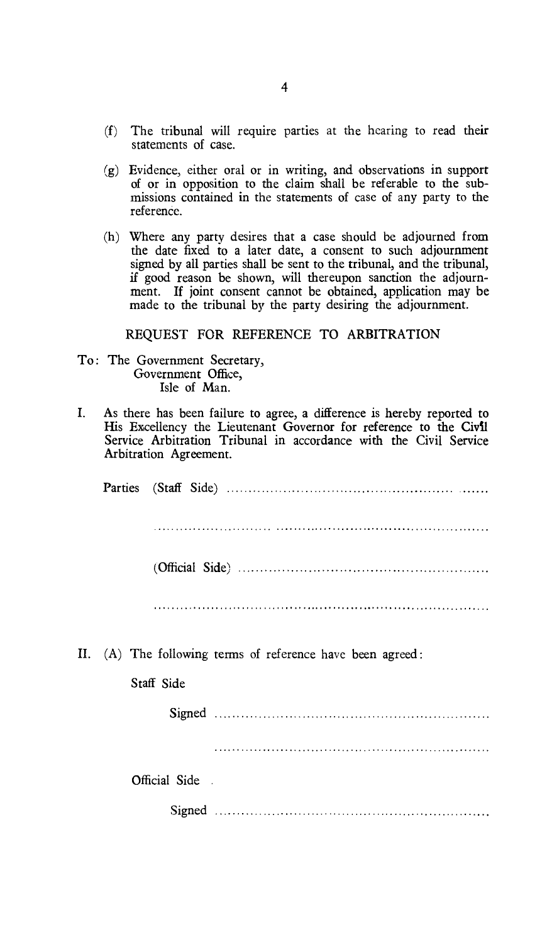- (f) The tribunal will require parties at the hearing to read their statements of case.
- (g) Evidence, either oral or in writing, and observations in support of or in opposition to the claim shall be referable to the submissions contained in the statements of case of any party to the reference.
- (h) Where any party desires that a case should be adjourned from the date fixed to a later date, a consent to such adjournment signed by all parties shall be sent to the tribunal, and the tribunal, if good reason be shown, will thereupon sanction the adjournment. If joint consent cannot be obtained, application may be made to the tribunal by the party desiring the adjournment.

### REQUEST FOR REFERENCE TO ARBITRATION

- To: The Government Secretary, Government Office, Isle of Man.
- I. As there has been failure to agree, a difference is hereby reported to His Excellency the Lieutenant Governor for reference to the Civil Service Arbitration Tribunal in accordance with the Civil Service Arbitration Agreement.

II. (A) The following terms of reference have been agreed :

#### Staff Side

Signed

Official Side.

Signed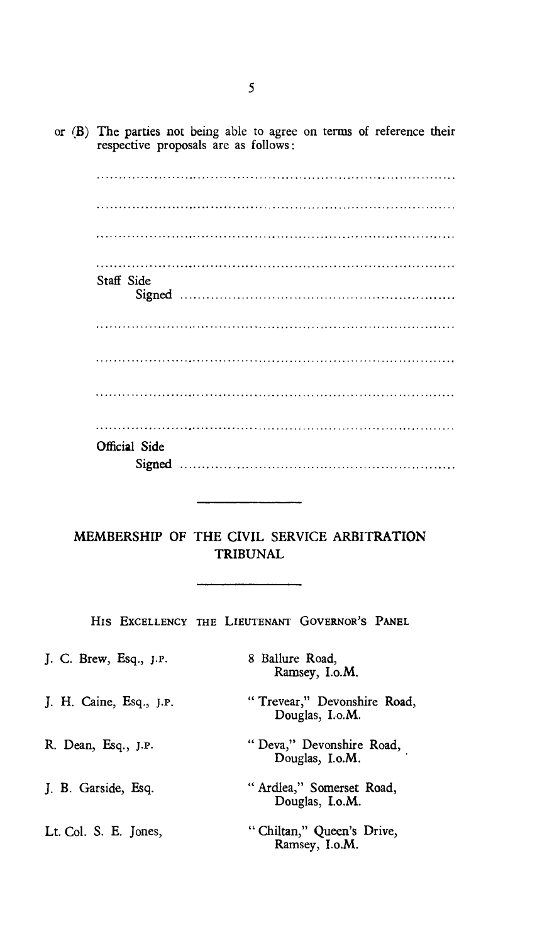or **(B)** The parties not being able to agree on terms of reference their respective proposals are as follows :

Staff Side Signed Official Side Signed

MEMBERSHIP OF THE CIVIL SERVICE ARBITRATION TRIBUNAL

HIS EXCELLENCY THE LIEUTENANT GOVERNOR'S PANEL

| J. C. Brew, Esq., J.P.  | 8 Ballure Road,<br>Ramsey, I.o.M.              |
|-------------------------|------------------------------------------------|
| J. H. Caine, Esq., J.P. | "Trevear," Devonshire Road,<br>Douglas, I.o.M. |
| R. Dean, Esq., J.P.     | "Deva," Devonshire Road,<br>Douglas, I.o.M.    |
| J. B. Garside, Esq.     | "Ardlea," Somerset Road,<br>Douglas, I.o.M.    |
| Lt. Col. S. E. Jones,   | "Chiltan," Queen's Drive,<br>Ramsey, I.o.M.    |